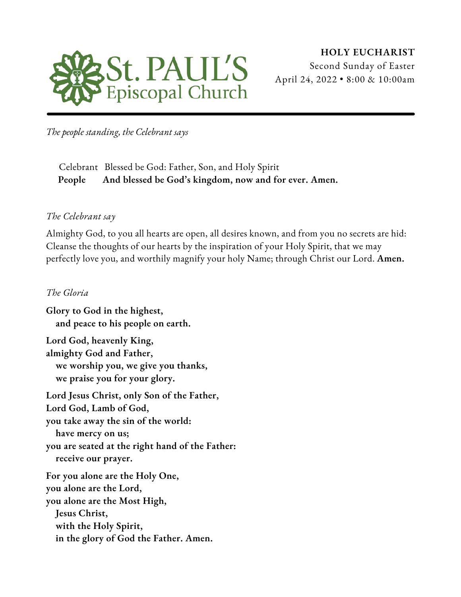

*The people standing, the Celebrant says*

Celebrant Blessed be God: Father, Son, and Holy Spirit **People And blessed be God's kingdom, now and for ever. Amen.**

#### *The Celebrant say*

Almighty God, to you all hearts are open, all desires known, and from you no secrets are hid: Cleanse the thoughts of our hearts by the inspiration of your Holy Spirit, that we may perfectly love you, and worthily magnify your holy Name; through Christ our Lord. **Amen.**

#### *The Gloria*

**Glory to God in the highest, and peace to his people on earth. Lord God, heavenly King, almighty God and Father, we worship you, we give you thanks, we praise you for your glory. Lord Jesus Christ, only Son of the Father,**

**Lord God, Lamb of God, you take away the sin of the world: have mercy on us; you are seated at the right hand of the Father: receive our prayer. For you alone are the Holy One, you alone are the Lord, you alone are the Most High,**

**Jesus Christ, with the Holy Spirit, in the glory of God the Father. Amen.**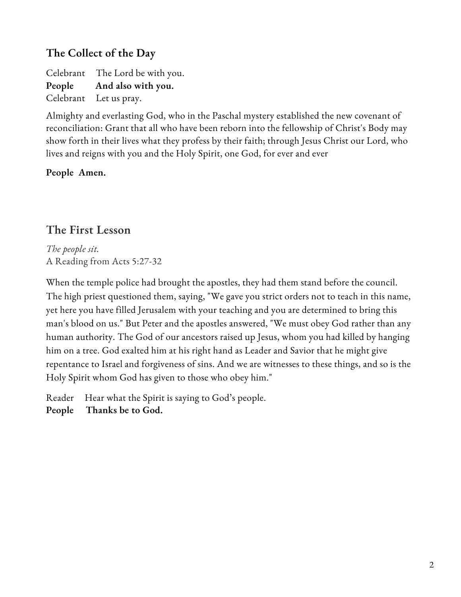### **The Collect of the Day**

Celebrant The Lord be with you. **People And also with you.** Celebrant Let us pray.

Almighty and everlasting God, who in the Paschal mystery established the new covenant of reconciliation: Grant that all who have been reborn into the fellowship of Christ's Body may show forth in their lives what they profess by their faith; through Jesus Christ our Lord, who lives and reigns with you and the Holy Spirit, one God, for ever and ever

### **People Amen.**

### **The First Lesson**

*The people sit.* A Reading from Acts 5:27-32

When the temple police had brought the apostles, they had them stand before the council. The high priest questioned them, saying, "We gave you strict orders not to teach in this name, yet here you have filled Jerusalem with your teaching and you are determined to bring this man's blood on us." But Peter and the apostles answered, "We must obey God rather than any human authority. The God of our ancestors raised up Jesus, whom you had killed by hanging him on a tree. God exalted him at his right hand as Leader and Savior that he might give repentance to Israel and forgiveness of sins. And we are witnesses to these things, and so is the Holy Spirit whom God has given to those who obey him."

Reader Hear what the Spirit is saying to God's people.

**People Thanks be to God.**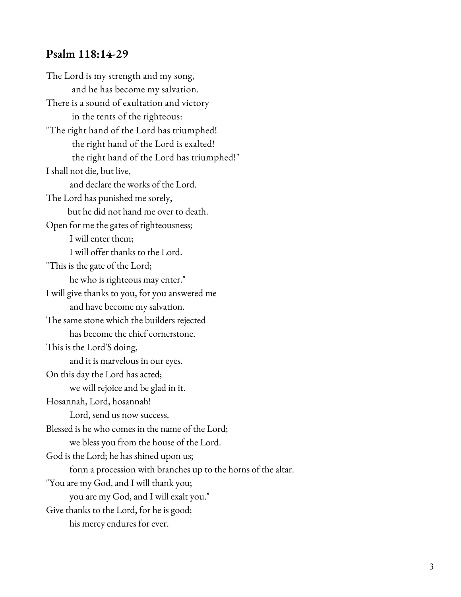The Lord is my strength and my song, and he has become my salvation. There is a sound of exultation and victory in the tents of the righteous: "The right hand of the Lord has triumphed!  $\,$ the right hand of the Lord is exalted! the right hand of the Lord has triumphed!" I shall not die, but live, and declare the works of the Lord. The Lord has punished me sorely, but he did not hand me over to dea t h. Open for me the gates of righteousness; I will enter them; I will offer thanks to the Lord. "This is the gate of the Lord; he who is righteous may enter." I will give thanks to you, for you answered m e and have become my salvation. The same stone which the builders rejected has become the chief cornerstone. This is the Lord'S doing, and it is marvelous in our eyes. On this day the Lord has acted; we will rejoice and be glad in it. Hosannah, Lord, hosannah! Lord, send us now success. Blessed is he who comes in the name of the Lord; we bless you from the house of the Lord. God is the Lord; he has shined upon us; form a procession with branches up to the horns of the altar. "You are my God, and I will thank you; you are my God, and I will exalt you." Give thanks to the Lord, for he is good; **Psalm 118:14-29**<br>The Lord is my strength and my<br>and he has become my sa<br>There is a sound of exultation a<br>in the tents of the rightec<br>"The right hand of the Lord has<br>the right hand of the Lor<br>Ishall not die, but live,<br>and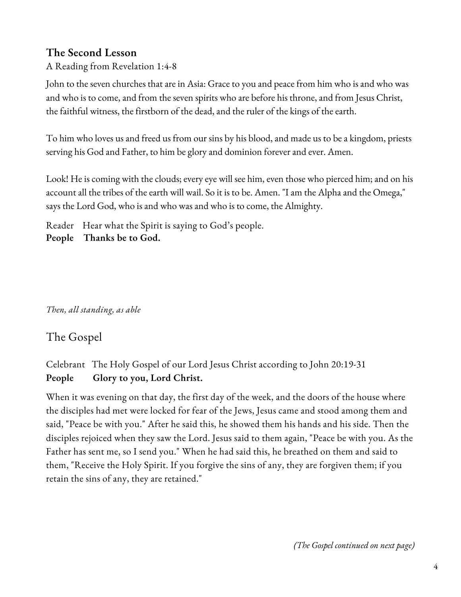### **The Second Lesson**

A Reading from Revelation 1:4-8

John to the seven churches that are in Asia: Grace to you and peace from him who is and who was and who is to come, and from the seven spirits who are before his throne, and from Jesus Christ, the faithful witness, the firstborn of the dead, and the ruler of the kings of the earth.

To him who loves us and freed us from our sins by his blood, and made us to be a kingdom, priests serving his God and Father, to him be glory and dominion forever and ever. Amen.

Look! He is coming with the clouds; every eye will see him, even those who pierced him; and on his account all the tribes of the earth will wail. So it is to be. Amen. "I am the Alpha and the Omega," says the Lord God, who is and who was and who is to come, the Almighty.

Reader Hear what the Spirit is saying to God's people. **People Thanks be to God.**

*Then, all standing, as able*

### The Gospel

Celebrant The Holy Gospel of our Lord Jesus Christ according to John 20:19-31 **People Glory to you, Lord Christ.**

When it was evening on that day, the first day of the week, and the doors of the house where the disciples had met were locked for fear of the Jews, Jesus came and stood among them and said, "Peace be with you." After he said this, he showed them his hands and his side. Then the disciples rejoiced when they saw the Lord. Jesus said to them again, "Peace be with you. As the Father has sent me, so I send you." When he had said this, he breathed on them and said to them, "Receive the Holy Spirit. If you forgive the sins of any, they are forgiven them; if you retain the sins of any, they are retained."

*(The Gospel continued on next page)*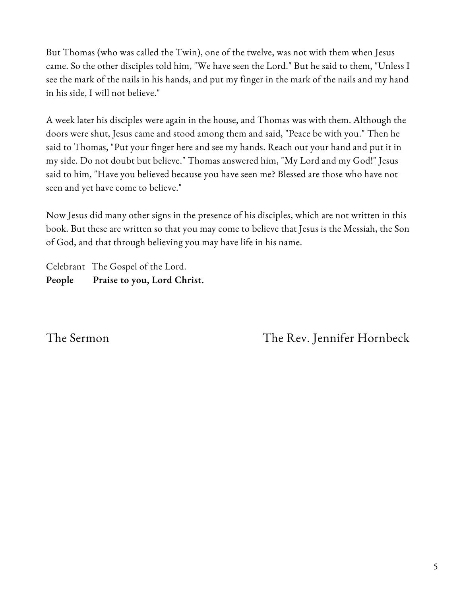But Thomas (who was called the Twin), one of the twelve, was not with them when Jesus came. So the other disciples told him, "We have seen the Lord." But he said to them, "Unless I see the mark of the nails in his hands, and put my finger in the mark of the nails and my hand in his side, I will not believe."

A week later his disciples were again in the house, and Thomas was with them. Although the doors were shut, Jesus came and stood among them and said, "Peace be with you." Then he said to Thomas, "Put your finger here and see my hands. Reach out your hand and put it in my side. Do not doubt but believe." Thomas answered him, "My Lord and my God!" Jesus said to him, "Have you believed because you have seen me? Blessed are those who have not seen and yet have come to believe."

Now Jesus did many other signs in the presence of his disciples, which are not written in this book. But these are written so that you may come to believe that Jesus is the Messiah, the Son of God, and that through believing you may have life in his name.

Celebrant The Gospel of the Lord. **People Praise to you, Lord Christ.**

The Sermon The Rev. Jennifer Hornbeck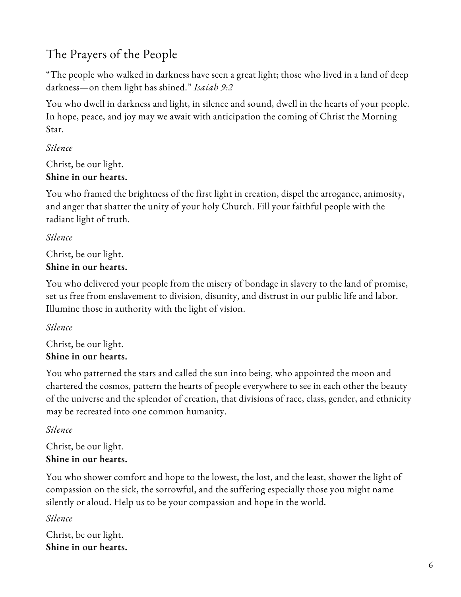# The Prayers of the People

"The people who walked in darkness have seen a great light; those who lived in a land of deep darkness—on them light has shined." *Isaiah 9:2*

You who dwell in darkness and light, in silence and sound, dwell in the hearts of your people. In hope, peace, and joy may we await with anticipation the coming of Christ the Morning Star.

#### *Silence*

Christ, be our light. **Shine in our hearts.**

You who framed the brightness of the first light in creation, dispel the arrogance, animosity, and anger that shatter the unity of your holy Church. Fill your faithful people with the radiant light of truth.

#### *Silence*

Christ, be our light. **Shine in our hearts.**

You who delivered your people from the misery of bondage in slavery to the land of promise, set us free from enslavement to division, disunity, and distrust in our public life and labor. Illumine those in authority with the light of vision.

#### *Silence*

Christ, be our light. **Shine in our hearts.**

You who patterned the stars and called the sun into being, who appointed the moon and chartered the cosmos, pattern the hearts of people everywhere to see in each other the beauty of the universe and the splendor of creation, that divisions of race, class, gender, and ethnicity may be recreated into one common humanity.

### *Silence*

Christ, be our light. **Shine in our hearts.**

You who shower comfort and hope to the lowest, the lost, and the least, shower the light of compassion on the sick, the sorrowful, and the suffering especially those you might name silently or aloud. Help us to be your compassion and hope in the world.

#### *Silence*

Christ, be our light. **Shine in our hearts.**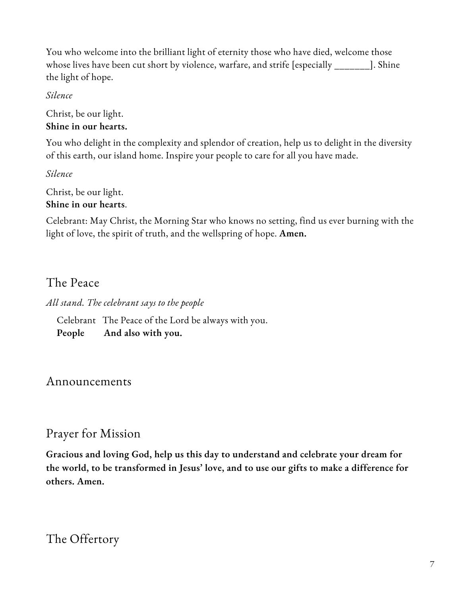You who welcome into the brilliant light of eternity those who have died, welcome those whose lives have been cut short by violence, warfare, and strife [especially \_\_\_\_\_\_\_]. Shine the light of hope.

#### *Silence*

Christ, be our light. **Shine in our hearts.**

You who delight in the complexity and splendor of creation, help us to delight in the diversity of this earth, our island home. Inspire your people to care for all you have made.

*Silence*

Christ, be our light. **Shine in our hearts**.

Celebrant: May Christ, the Morning Star who knows no setting, find us ever burning with the light of love, the spirit of truth, and the wellspring of hope. **Amen.**

### The Peace

*All stand. The celebrant says to the people*

Celebrant The Peace of the Lord be always with you. **People And also with you.**

### Announcements

### Prayer for Mission

**Gracious and loving God, help us this day to understand and celebrate your dream for the world, to be transformed in Jesus' love, and to use our gifts to make a difference for others. Amen.**

### The Offertory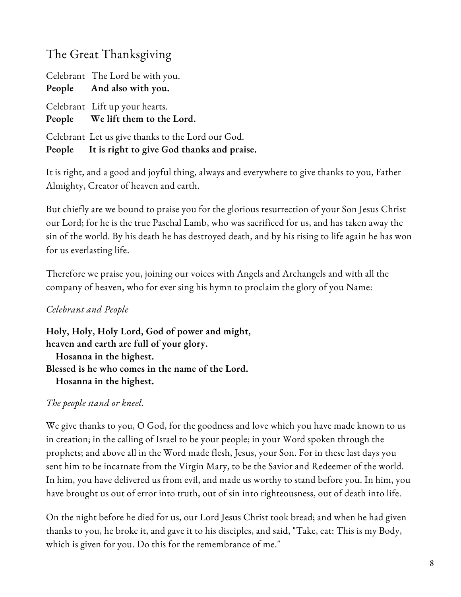## The Great Thanksgiving

Celebrant The Lord be with you. **People And also with you.** Celebrant Lift up your hearts. **People We lift them to the Lord.** Celebrant Let us give thanks to the Lord our God. **People It is right to give God thanks and praise.**

It is right, and a good and joyful thing, always and everywhere to give thanks to you, Father Almighty, Creator of heaven and earth.

But chiefly are we bound to praise you for the glorious resurrection of your Son Jesus Christ our Lord; for he is the true Paschal Lamb, who was sacrificed for us, and has taken away the sin of the world. By his death he has destroyed death, and by his rising to life again he has won for us everlasting life.

Therefore we praise you, joining our voices with Angels and Archangels and with all the company of heaven, who for ever sing his hymn to proclaim the glory of you Name:

#### *Celebrant and People*

**Holy, Holy, Holy Lord, God of power and might, heaven and earth are full of your glory. Hosanna in the highest. Blessed is he who comes in the name of the Lord. Hosanna in the highest.**

#### *The people stand or kneel.*

We give thanks to you, O God, for the goodness and love which you have made known to us in creation; in the calling of Israel to be your people; in your Word spoken through the prophets; and above all in the Word made flesh, Jesus, your Son. For in these last days you sent him to be incarnate from the Virgin Mary, to be the Savior and Redeemer of the world. In him, you have delivered us from evil, and made us worthy to stand before you. In him, you have brought us out of error into truth, out of sin into righteousness, out of death into life.

On the night before he died for us, our Lord Jesus Christ took bread; and when he had given thanks to you, he broke it, and gave it to his disciples, and said, "Take, eat: This is my Body, which is given for you. Do this for the remembrance of me."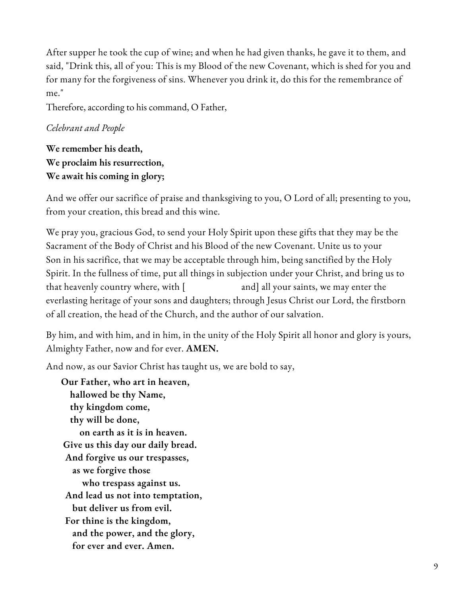After supper he took the cup of wine; and when he had given thanks, he gave it to them, and said, "Drink this, all of you: This is my Blood of the new Covenant, which is shed for you and for many for the forgiveness of sins. Whenever you drink it, do this for the remembrance of me."

Therefore, according to his command, O Father,

#### *Celebrant and People*

**We remember his death, We proclaim his resurrection, We await his coming in glory;**

And we offer our sacrifice of praise and thanksgiving to you, O Lord of all; presenting to you, from your creation, this bread and this wine.

We pray you, gracious God, to send your Holy Spirit upon these gifts that they may be the Sacrament of the Body of Christ and his Blood of the new Covenant. Unite us to your Son in his sacrifice, that we may be acceptable through him, being sanctified by the Holy Spirit. In the fullness of time, put all things in subjection under your Christ, and bring us to that heavenly country where, with [ and] all your saints, we may enter the everlasting heritage of your sons and daughters; through Jesus Christ our Lord, the firstborn of all creation, the head of the Church, and the author of our salvation.

By him, and with him, and in him, in the unity of the Holy Spirit all honor and glory is yours, Almighty Father, now and for ever. **AMEN.**

And now, as our Savior Christ has taught us, we are bold to say,

**Our Father, who art in heaven, hallowed be thy Name, thy kingdom come, thy will be done, on earth as it is in heaven. Give us this day our daily bread. And forgive us our trespasses, as we forgive those who trespass against us. And lead us not into temptation, but deliver us from evil. For thine is the kingdom, and the power, and the glory, for ever and ever. Amen.**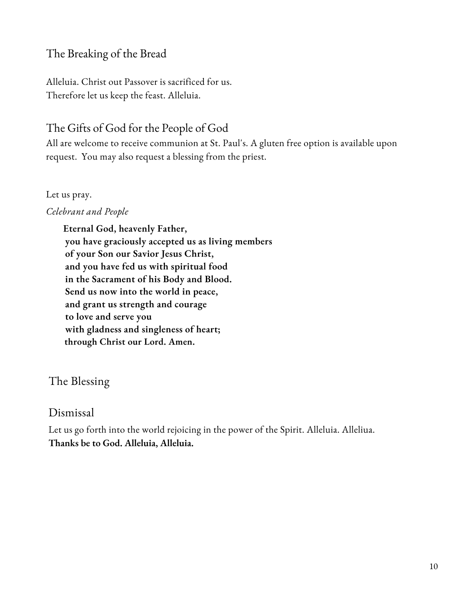### The Breaking of the Bread

Alleluia. Christ out Passover is sacrificed for us. Therefore let us keep the feast. Alleluia.

### The Gifts of God for the People of God

All are welcome to receive communion at St. Paul's. A gluten free option is available upon request. You may also request a blessing from the priest.

#### Let us pray.

#### *Celebrant and People*

**Eternal God, heavenly Father, you have graciously accepted us as living members of your Son our Savior Jesus Christ, and you have fed us with spiritual food in the Sacrament of his Body and Blood. Send us now into the world in peace, and grant us strength and courage to love and serve you with gladness and singleness of heart; through Christ our Lord. Amen.**

### The Blessing

### Dismissal

Let us go forth into the world rejoicing in the power of the Spirit. Alleluia. Alleliua. **Thanks be to God. Alleluia, Alleluia.**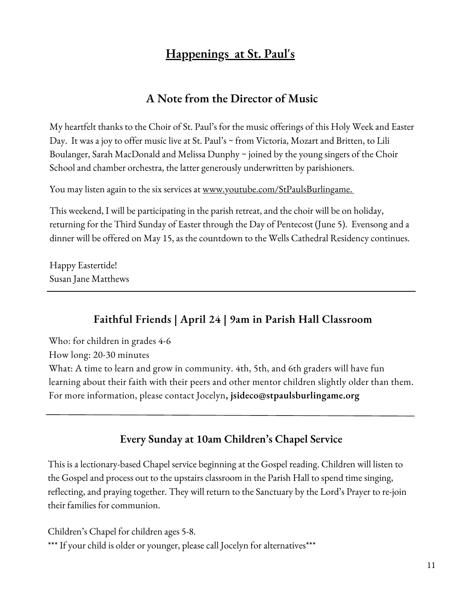### **Happenings at St. Paul's**

### **A Note from the Director of Music**

My heartfelt thanks to the Choir of St. Paul's for the music offerings of this Holy Week and Easter Day. It was a joy to offer music live at St. Paul's ~ from Victoria, Mozart and Britten, to Lili Boulanger, Sarah MacDonald and Melissa Dunphy ~ joined by the young singers of the Choir School and chamber orchestra, the latter generously underwritten by parishioners.

You may listen again to the six services at www.youtube.com/StPaulsBurlingame.

This weekend, I will be participating in the parish retreat, and the choir will be on holiday, returning for the Third Sunday of Easter through the Day of Pentecost (June 5). Evensong and a dinner will be offered on May 15, as the countdown to the Wells Cathedral Residency continues.

Happy Eastertide! Susan Jane Matthews

### **Faithful Friends | April 24 | 9am in Parish Hall Classroom**

Who: for children in grades 4-6

How long: 20-30 minutes

What: A time to learn and grow in community. 4th, 5th, and 6th graders will have fun learning about their faith with their peers and other mentor children slightly older than them. For more information, please contact Jocelyn**, jsideco@stpaulsburlingame.org**

### **Every Sunday at 10am Children's Chapel Service**

This is a lectionary-based Chapel service beginning at the Gospel reading. Children will listen to the Gospel and process out to the upstairs classroom in the Parish Hall to spend time singing, reflecting, and praying together. They will return to the Sanctuary by the Lord's Prayer to re-join their families for communion.

Children's Chapel for children ages 5-8. \*\*\* If your child is older or younger, please call Jocelyn for alternatives\*\*\*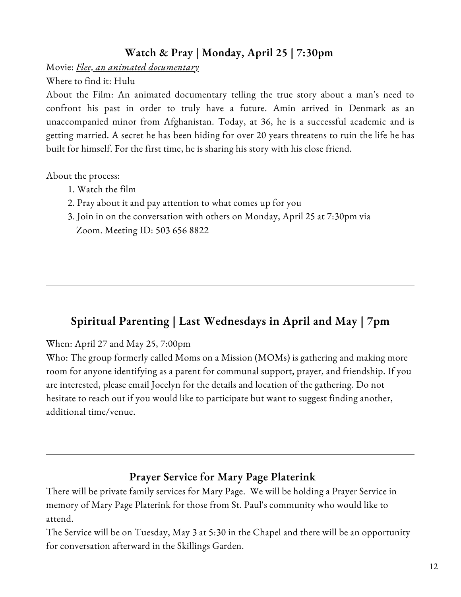### **Watch & Pray | Monday, April 25 | 7:30pm**

Movie: *Flee, an animated documentary*

Where to find it: Hulu

About the Film: An animated documentary telling the true story about a man's need to confront his past in order to truly have a future. Amin arrived in Denmark as an unaccompanied minor from Afghanistan. Today, at 36, he is a successful academic and is getting married. A secret he has been hiding for over 20 years threatens to ruin the life he has built for himself. For the first time, he is sharing his story with his close friend.

About the process:

- 1. Watch the film
- 2. Pray about it and pay attention to what comes up for you
- 3. Join in on the conversation with others on Monday, April 25 at 7:30pm via Zoom. Meeting ID: 503 656 8822

### **Spiritual Parenting | Last Wednesdays in April and May | 7pm**

When: April 27 and May 25, 7:00pm

Who: The group formerly called Moms on a Mission (MOMs) is gathering and making more room for anyone identifying as a parent for communal support, prayer, and friendship. If you are interested, please email Jocelyn for the details and location of the gathering. Do not hesitate to reach out if you would like to participate but want to suggest finding another, additional time/venue.

### **Prayer Service for Mary Page Platerink**

There will be private family services for Mary Page. We will be holding a Prayer Service in memory of Mary Page Platerink for those from St. Paul's community who would like to attend.

The Service will be on Tuesday, May 3 at 5:30 in the Chapel and there will be an opportunity for conversation afterward in the Skillings Garden.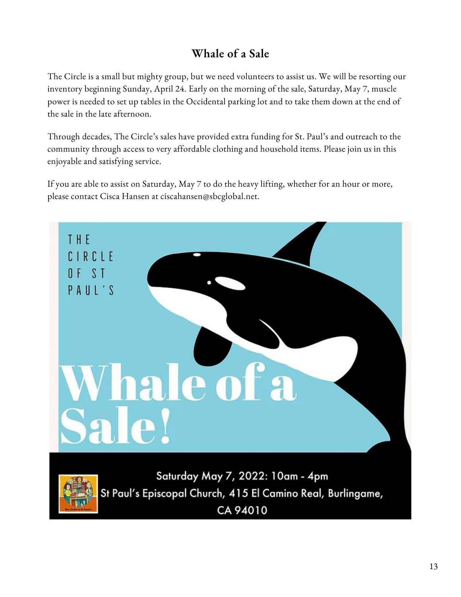# **Whale of a Sale**

The Circle is a small but mighty group, but we need volunteers to assist us. We will be resorting our inventory beginning Sunday, April 24. Early on the morning of the sale, Saturday, May 7, muscle power is needed to set up tables in the Occidental parking lot and to take them down at the end of the sale in the late afternoon.

Through decades, The Circle's sales have provided extra funding for St. Paul's and outreach to the community through access to very affordable clothing and household items. Please join us in this enjoyable and satisfying service.

If you are able to assist on Saturday, May 7 to do the heavy lifting, whether for an hour or more, please contact Cisca Hansen at ciscahansen@sbcglobal.net.

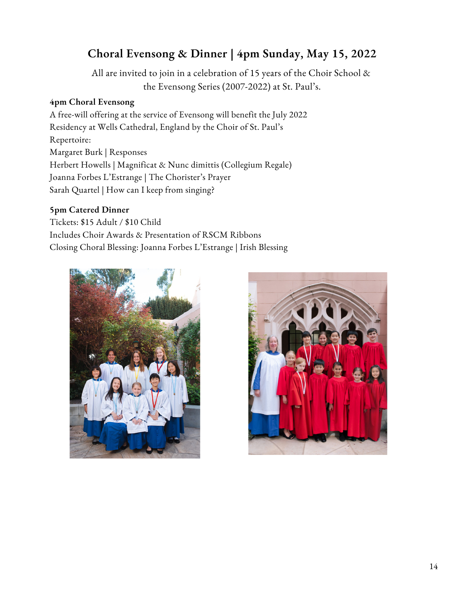### **Choral Evensong & Dinner | 4pm Sunday, May 15, 2022**

All are invited to join in acelebration of 15 years of the Choir School & the Evensong Series (2007-2022) at St. Paul's.

#### **4pm Choral Evensong**

A free-will offering at the service of Evensong will benefit the July 2022 Residency at Wells Cathedral, England by the Choir of St. Paul's Repertoire: Margaret Burk | Responses Herbert Howells | Magnificat & Nunc dimittis (Collegium Regale) Joanna Forbes L'Estrange | The Chorister's Prayer Sarah Quartel | How can I keep from singing?

#### **5pm Catered Dinner**

Tickets: \$15 Adult / \$10 Child Includes Choir Awards & Presentation of RSCM Ribbons Closing Choral Blessing: Joanna Forbes L'Estrange | Irish Blessing



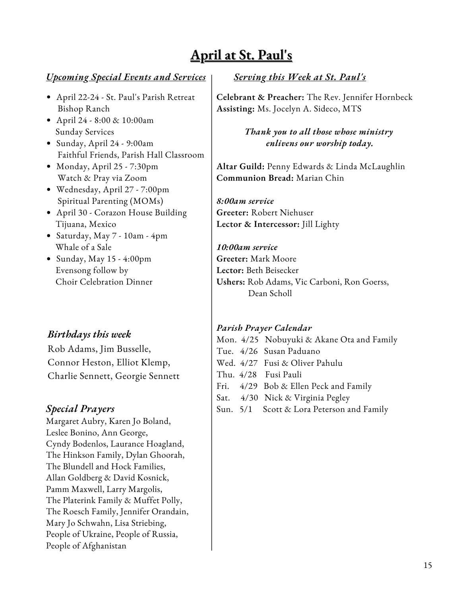# **April at St. Paul's**

#### *Upcoming Special Events and Services*

- April 22-24 St. Paul's Parish Retreat Bishop Ranch
- April 24 8:00 & 10:00am Sunday Services
- Sunday, April 24 9:00am Faithful Friends, Parish Hall Classroom
- Monday, April 25 7:30pm Watch & Pray via Zoom
- Wednesday, April 27 7:00pm Spiritual Parenting (MOMs)
- April 30 Corazon House Building Tijuana, Mexico
- Saturday, May 7 10am 4pm Whale of a Sale
- $\bullet$  Sunday, May 15 4:00pm Evensong follow by Choir Celebration Dinner

#### *Birthdays this week*

Rob Adams, Jim Busselle, Connor Heston, Elliot Klemp, Charlie Sennett, Georgie Sennett

#### *Special Prayers*

Margaret Aubry, Karen Jo Boland, Leslee Bonino, Ann George, Cyndy Bodenlos, Laurance Hoagland, The Hinkson Family, Dylan Ghoorah, The Blundell and Hock Families, Allan Goldberg & David Kosnick, Pamm Maxwell, Larry Margolis, The Platerink Family & Muffet Polly, The Roesch Family, Jennifer Orandain, Mary Jo Schwahn, Lisa Striebing, People of Ukraine, People of Russia, People of Afghanistan

#### *Serving this Week at St. Paul's*

**Celebrant & Preacher:** The Rev. Jennifer Hornbeck **Assisting:** Ms. Jocelyn A. Sideco, MTS

> *Thank you to all those whose ministry enlivens our worship today.*

**Altar Guild:** Penny Edwards & Linda McLaughlin **Communion Bread:** Marian Chin

*8:00am service* **Greeter:** Robert Niehuser **Lector & Intercessor:** Jill Lighty

*10:00am service* **Greeter:** Mark Moore **Lector:** Beth Beisecker **Ushers:** Rob Adams, Vic Carboni, Ron Goerss, Dean Scholl

#### *Parish Prayer Calendar*

Mon. 4/25 Nobuyuki & Akane Ota and Family Tue. 4/26 Susan Paduano Wed. 4/27 Fusi & Oliver Pahulu Thu. 4/28 Fusi Pauli Fri. 4/29 Bob & Ellen Peck and Family

Sat. 4/30 Nick & Virginia Pegley

Sun. 5/1 Scott & Lora Peterson and Family